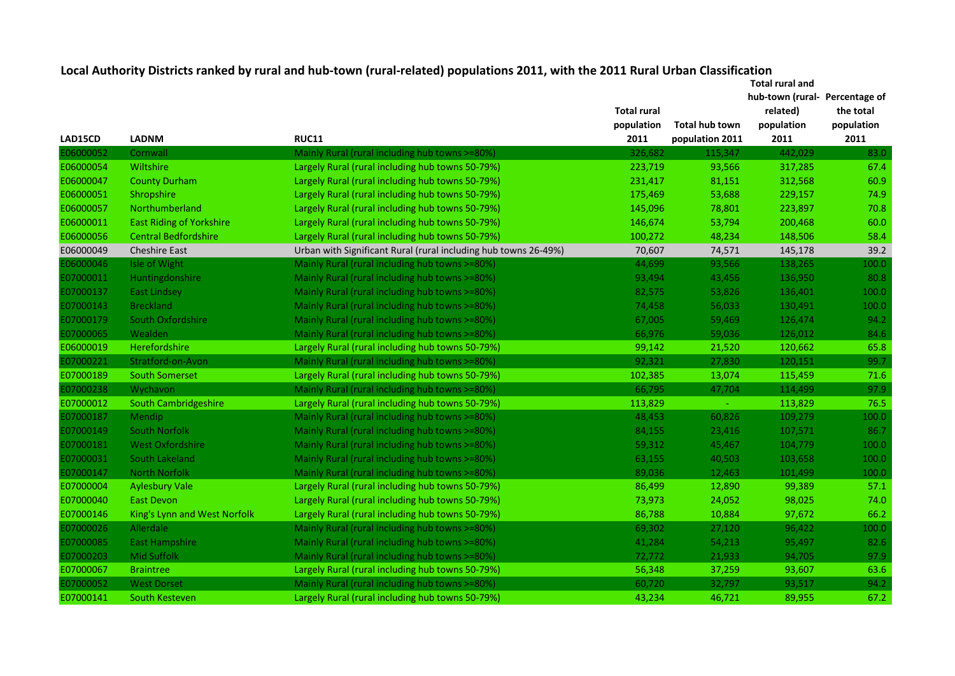**Total rural and hub-town (rural-Percentage of** 

|           |                                 |                                                                 | <b>Total rural</b> |                 | related)   | the total  |
|-----------|---------------------------------|-----------------------------------------------------------------|--------------------|-----------------|------------|------------|
|           |                                 |                                                                 | population         | Total hub town  | population | population |
| LAD15CD   | <b>LADNM</b>                    | <b>RUC11</b>                                                    | 2011               | population 2011 | 2011       | 2011       |
| E06000052 | Cornwall                        | Mainly Rural (rural including hub towns >=80%)                  | 326,682            | 115,347         | 442,029    | 83.0       |
| E06000054 | Wiltshire                       | Largely Rural (rural including hub towns 50-79%)                | 223,719            | 93,566          | 317,285    | 67.4       |
| E06000047 | <b>County Durham</b>            | Largely Rural (rural including hub towns 50-79%)                | 231,417            | 81,151          | 312,568    | 60.9       |
| E06000051 | Shropshire                      | Largely Rural (rural including hub towns 50-79%)                | 175,469            | 53,688          | 229,157    | 74.9       |
| E06000057 | Northumberland                  | Largely Rural (rural including hub towns 50-79%)                | 145,096            | 78,801          | 223,897    | 70.8       |
| E06000011 | <b>East Riding of Yorkshire</b> | Largely Rural (rural including hub towns 50-79%)                | 146,674            | 53,794          | 200,468    | 60.0       |
| E06000056 | <b>Central Bedfordshire</b>     | Largely Rural (rural including hub towns 50-79%)                | 100,272            | 48,234          | 148,506    | 58.4       |
| E06000049 | <b>Cheshire East</b>            | Urban with Significant Rural (rural including hub towns 26-49%) | 70,607             | 74,571          | 145,178    | 39.2       |
| E06000046 | Isle of Wight                   | Mainly Rural (rural including hub towns >=80%)                  | 44,699             | 93,566          | 138,265    | 100.0      |
| E07000011 | Huntingdonshire                 | Mainly Rural (rural including hub towns >=80%)                  | 93,494             | 43,456          | 136,950    | 80.8       |
| E07000137 | <b>East Lindsey</b>             | Mainly Rural (rural including hub towns >=80%)                  | 82,575             | 53,826          | 136,401    | 100.0      |
| E07000143 | <b>Breckland</b>                | Mainly Rural (rural including hub towns >=80%)                  | 74,458             | 56,033          | 130,491    | 100.0      |
| E07000179 | South Oxfordshire               | Mainly Rural (rural including hub towns >=80%)                  | 67,005             | 59,469          | 126,474    | 94.2       |
| E07000065 | Wealden                         | Mainly Rural (rural including hub towns >=80%)                  | 66,976             | 59,036          | 126,012    | 84.6       |
| E06000019 | Herefordshire                   | Largely Rural (rural including hub towns 50-79%)                | 99,142             | 21,520          | 120,662    | 65.8       |
| E07000221 | Stratford-on-Avon               | Mainly Rural (rural including hub towns >=80%)                  | 92,321             | 27,830          | 120,151    | 99.7       |
| E07000189 | <b>South Somerset</b>           | Largely Rural (rural including hub towns 50-79%)                | 102,385            | 13,074          | 115,459    | 71.6       |
| E07000238 | Wychavon                        | Mainly Rural (rural including hub towns >=80%)                  | 66,795             | 47,704          | 114,499    | 97.9       |
| E07000012 | South Cambridgeshire            | Largely Rural (rural including hub towns 50-79%)                | 113,829            | $\sim$ .        | 113,829    | 76.5       |
| E07000187 | <b>Mendip</b>                   | Mainly Rural (rural including hub towns >=80%)                  | 48,453             | 60,826          | 109,279    | 100.0      |
| E07000149 | <b>South Norfolk</b>            | Mainly Rural (rural including hub towns >=80%)                  | 84,155             | 23,416          | 107,571    | 86.7       |
| E07000181 | <b>West Oxfordshire</b>         | Mainly Rural (rural including hub towns >=80%)                  | 59,312             | 45,467          | 104,779    | 100.0      |
| E07000031 | South Lakeland                  | Mainly Rural (rural including hub towns >=80%)                  | 63,155             | 40,503          | 103,658    | 100.0      |
| E07000147 | <b>North Norfolk</b>            | Mainly Rural (rural including hub towns >=80%)                  | 89,036             | 12,463          | 101,499    | 100.0      |
| E07000004 | <b>Aylesbury Vale</b>           | Largely Rural (rural including hub towns 50-79%)                | 86,499             | 12,890          | 99,389     | 57.1       |
| E07000040 | <b>East Devon</b>               | Largely Rural (rural including hub towns 50-79%)                | 73,973             | 24,052          | 98,025     | 74.0       |
| E07000146 | King's Lynn and West Norfolk    | Largely Rural (rural including hub towns 50-79%)                | 86,788             | 10,884          | 97,672     | 66.2       |
| E07000026 | Allerdale                       | Mainly Rural (rural including hub towns >=80%)                  | 69,302             | 27,120          | 96,422     | 100.0      |
| E07000085 | <b>East Hampshire</b>           | Mainly Rural (rural including hub towns >=80%)                  | 41,284             | 54,213          | 95,497     | 82.6       |
| E07000203 | <b>Mid Suffolk</b>              | Mainly Rural (rural including hub towns >=80%)                  | 72,772             | 21,933          | 94,705     | 97.9       |
| E07000067 | <b>Braintree</b>                | Largely Rural (rural including hub towns 50-79%)                | 56,348             | 37,259          | 93,607     | 63.6       |
| E07000052 | <b>West Dorset</b>              | Mainly Rural (rural including hub towns >=80%)                  | 60,720             | 32,797          | 93,517     | 94.2       |
| E07000141 | South Kesteven                  | Largely Rural (rural including hub towns 50-79%)                | 43,234             | 46,721          | 89,955     | 67.2       |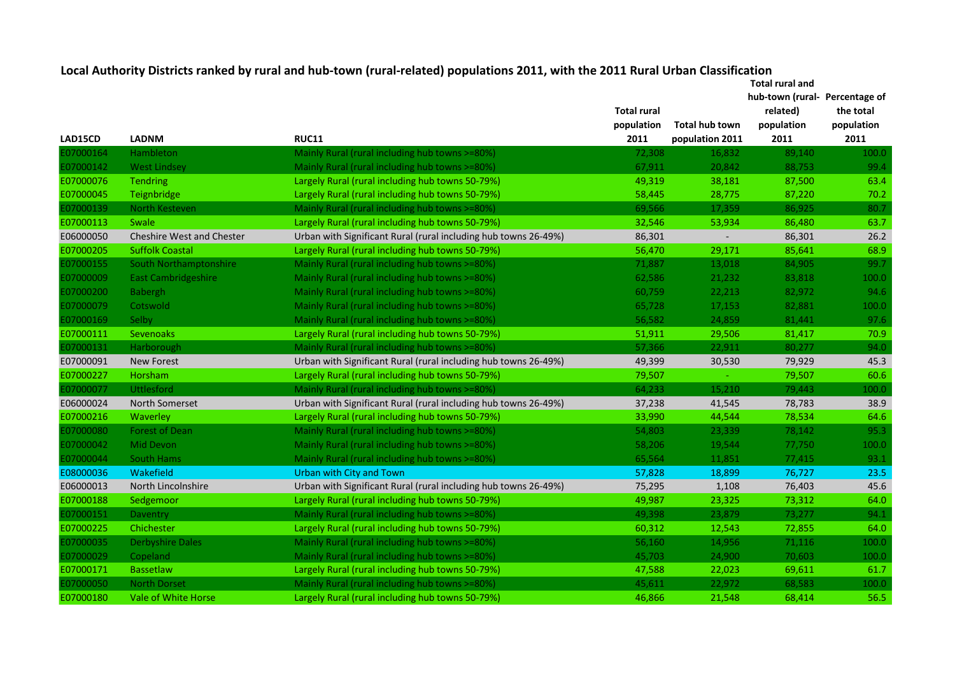| LAD15CD                | <b>LADNM</b>                     | <b>RUC11</b>                                                    | <b>Total rural</b><br>population<br>2011 | Total hub town           | hub-town (rural Percentage of<br>related)<br>population | the total<br>population<br>2011 |
|------------------------|----------------------------------|-----------------------------------------------------------------|------------------------------------------|--------------------------|---------------------------------------------------------|---------------------------------|
| 07000164               | Hambleton                        |                                                                 |                                          | population 2011          | 2011<br>89,140                                          | 100.0                           |
| 07000142               |                                  | Mainly Rural (rural including hub towns >=80%)                  | 72,308<br>67,911                         | 16,832<br>20,842         | 88,753                                                  | 99.4                            |
|                        | <b>West Lindsey</b>              | Mainly Rural (rural including hub towns >=80%)                  |                                          |                          |                                                         | 63.4                            |
| E07000076<br>E07000045 | <b>Tendring</b>                  | Largely Rural (rural including hub towns 50-79%)                | 49,319                                   | 38,181                   | 87,500                                                  | 70.2                            |
|                        | Teignbridge                      | Largely Rural (rural including hub towns 50-79%)                | 58,445                                   | 28,775                   | 87,220                                                  | 80.7                            |
| 07000139               | North Kesteven<br>Swale          | Mainly Rural (rural including hub towns >=80%)                  | 69,566                                   | 17,359                   | 86,925                                                  |                                 |
| E07000113              |                                  | Largely Rural (rural including hub towns 50-79%)                | 32,546                                   | 53,934                   | 86,480                                                  | 63.7                            |
| E06000050              | <b>Cheshire West and Chester</b> | Urban with Significant Rural (rural including hub towns 26-49%) | 86,301                                   | $\overline{\phantom{a}}$ | 86,301                                                  | 26.2                            |
| E07000205              | <b>Suffolk Coastal</b>           | Largely Rural (rural including hub towns 50-79%)                | 56,470                                   | 29,171                   | 85,641                                                  | 68.9                            |
| 07000155               | South Northamptonshire           | Mainly Rural (rural including hub towns >=80%)                  | 71,887                                   | 13,018                   | 84,905                                                  | 99.7                            |
| E07000009              | <b>East Cambridgeshire</b>       | Mainly Rural (rural including hub towns >=80%)                  | 62,586                                   | 21,232                   | 83,818                                                  | 100.0                           |
| E07000200              | Babergh                          | Mainly Rural (rural including hub towns >=80%)                  | 60,759                                   | 22,213                   | 82,972                                                  | 94.6                            |
| E07000079              | Cotswold                         | Mainly Rural (rural including hub towns >=80%)                  | 65,728                                   | 17,153                   | 82,881                                                  | 100.0                           |
| E07000169              | Selby                            | Mainly Rural (rural including hub towns >=80%)                  | 56,582                                   | 24,859                   | 81,441                                                  | 97.6                            |
| E07000111              | Sevenoaks                        | Largely Rural (rural including hub towns 50-79%)                | 51,911                                   | 29,506                   | 81,417                                                  | 70.9                            |
| 07000131               | Harborough                       | Mainly Rural (rural including hub towns >=80%)                  | 57,366                                   | 22,911                   | 80,277                                                  | 94.0                            |
| E07000091              | <b>New Forest</b>                | Urban with Significant Rural (rural including hub towns 26-49%) | 49,399                                   | 30,530                   | 79,929                                                  | 45.3                            |
| E07000227              | Horsham                          | Largely Rural (rural including hub towns 50-79%)                | 79,507                                   |                          | 79,507                                                  | 60.6                            |
| E07000077              | <b>Uttlesford</b>                | Mainly Rural (rural including hub towns >=80%)                  | 64,233                                   | 15,210                   | 79,443                                                  | 100.0                           |
| E06000024              | North Somerset                   | Urban with Significant Rural (rural including hub towns 26-49%) | 37,238                                   | 41,545                   | 78,783                                                  | 38.9                            |
| E07000216              | Waverley                         | Largely Rural (rural including hub towns 50-79%)                | 33,990                                   | 44,544                   | 78,534                                                  | 64.6                            |
| E07000080              | <b>Forest of Dean</b>            | Mainly Rural (rural including hub towns >=80%)                  | 54,803                                   | 23,339                   | 78,142                                                  | 95.3                            |
| E07000042              | Mid Devon                        | Mainly Rural (rural including hub towns >=80%)                  | 58,206                                   | 19,544                   | 77,750                                                  | 100.0                           |
| E07000044              | <b>South Hams</b>                | Mainly Rural (rural including hub towns >=80%)                  | 65,564                                   | 11,851                   | 77,415                                                  | 93.1                            |
| E08000036              | Wakefield                        | Urban with City and Town                                        | 57,828                                   | 18,899                   | 76,727                                                  | 23.5                            |
| E06000013              | North Lincolnshire               | Urban with Significant Rural (rural including hub towns 26-49%) | 75,295                                   | 1,108                    | 76,403                                                  | 45.6                            |
| E07000188              | Sedgemoor                        | Largely Rural (rural including hub towns 50-79%)                | 49,987                                   | 23,325                   | 73,312                                                  | 64.0                            |
| E07000151              | Daventry                         | Mainly Rural (rural including hub towns >=80%)                  | 49,398                                   | 23,879                   | 73,277                                                  | 94.1                            |
| E07000225              | Chichester                       | Largely Rural (rural including hub towns 50-79%)                | 60,312                                   | 12,543                   | 72,855                                                  | 64.0                            |
| E07000035              | <b>Derbyshire Dales</b>          | Mainly Rural (rural including hub towns >=80%)                  | 56,160                                   | 14,956                   | 71,116                                                  | 100.0                           |
| E07000029              | Copeland                         | Mainly Rural (rural including hub towns >=80%)                  | 45,703                                   | 24,900                   | 70,603                                                  | 100.0                           |
| E07000171              | Bassetlaw                        | Largely Rural (rural including hub towns 50-79%)                | 47,588                                   | 22,023                   | 69,611                                                  | 61.7                            |
| 07000050               | <b>North Dorset</b>              | Mainly Rural (rural including hub towns >=80%)                  | 45,611                                   | 22,972                   | 68,583                                                  | 100.0                           |
| E07000180              | Vale of White Horse              | Largely Rural (rural including hub towns 50-79%)                | 46,866                                   | 21.548                   | 68.414                                                  | 56.5                            |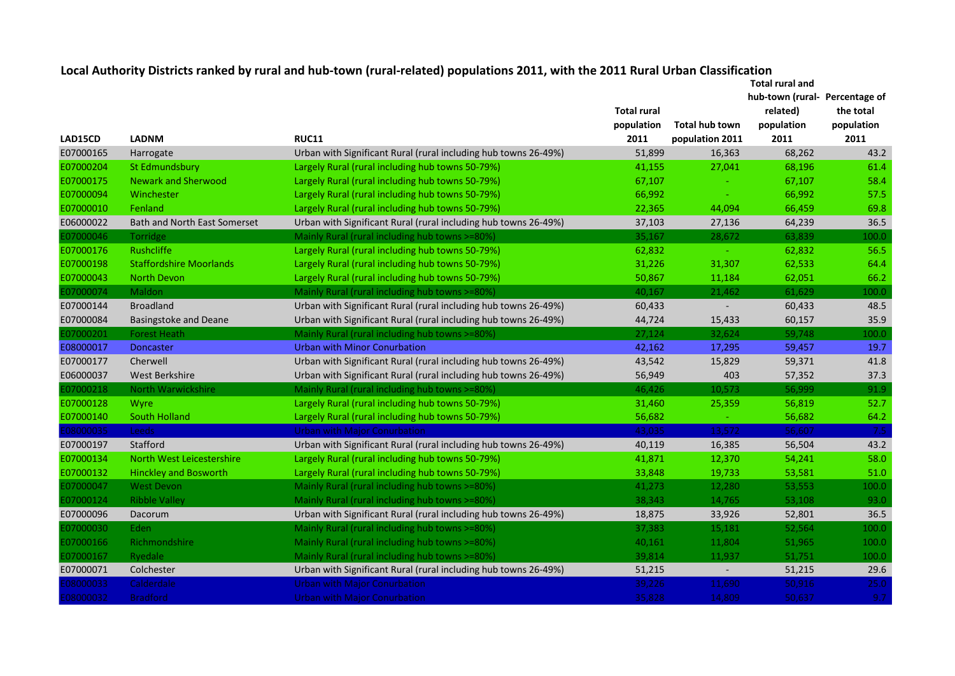|           |                                     |                                                                 | Total rural and    |                          |                  |               |
|-----------|-------------------------------------|-----------------------------------------------------------------|--------------------|--------------------------|------------------|---------------|
|           |                                     |                                                                 |                    |                          | hub-town (rural- | Percentage of |
|           |                                     |                                                                 | <b>Total rural</b> |                          | related)         | the total     |
|           |                                     |                                                                 | population         | Total hub town           | population       | population    |
| LAD15CD   | <b>LADNM</b>                        | <b>RUC11</b>                                                    | 2011               | population 2011          | 2011             | 2011          |
| E07000165 | Harrogate                           | Urban with Significant Rural (rural including hub towns 26-49%) | 51,899             | 16,363                   | 68,262           | 43.2          |
| E07000204 | St Edmundsbury                      | Largely Rural (rural including hub towns 50-79%)                | 41,155             | 27,041                   | 68,196           | 61.4          |
| E07000175 | <b>Newark and Sherwood</b>          | Largely Rural (rural including hub towns 50-79%)                | 67,107             |                          | 67,107           | 58.4          |
| E07000094 | Winchester                          | Largely Rural (rural including hub towns 50-79%)                | 66,992             |                          | 66,992           | 57.5          |
| E07000010 | Fenland                             | Largely Rural (rural including hub towns 50-79%)                | 22,365             | 44,094                   | 66,459           | 69.8          |
| E06000022 | <b>Bath and North East Somerset</b> | Urban with Significant Rural (rural including hub towns 26-49%) | 37,103             | 27,136                   | 64,239           | 36.5          |
| 07000046  | <b>Torridge</b>                     | Mainly Rural (rural including hub towns >=80%)                  | 35,167             | 28,672                   | 63,839           | 100.0         |
| E07000176 | <b>Rushcliffe</b>                   | Largely Rural (rural including hub towns 50-79%)                | 62,832             |                          | 62,832           | 56.5          |
| E07000198 | <b>Staffordshire Moorlands</b>      | Largely Rural (rural including hub towns 50-79%)                | 31,226             | 31,307                   | 62,533           | 64.4          |
| E07000043 | North Devon                         | Largely Rural (rural including hub towns 50-79%)                | 50,867             | 11,184                   | 62,051           | 66.2          |
| 07000074  | <b>Maldon</b>                       | Mainly Rural (rural including hub towns >=80%)                  | 40,167             | 21,462                   | 61,629           | 100.0         |
| E07000144 | <b>Broadland</b>                    | Urban with Significant Rural (rural including hub towns 26-49%) | 60,433             | $\overline{\phantom{a}}$ | 60,433           | 48.5          |
| E07000084 | <b>Basingstoke and Deane</b>        | Urban with Significant Rural (rural including hub towns 26-49%) | 44,724             | 15,433                   | 60,157           | 35.9          |
| 07000201  | <b>Forest Heath</b>                 | Mainly Rural (rural including hub towns >=80%)                  | 27,124             | 32,624                   | 59,748           | 100.0         |
| E08000017 | <b>Doncaster</b>                    | Urban with Minor Conurbation                                    | 42,162             | 17,295                   | 59,457           | 19.7          |
| E07000177 | Cherwell                            | Urban with Significant Rural (rural including hub towns 26-49%) | 43,542             | 15,829                   | 59,371           | 41.8          |
| E06000037 | West Berkshire                      | Urban with Significant Rural (rural including hub towns 26-49%) | 56,949             | 403                      | 57,352           | 37.3          |
| 07000218  | <b>North Warwickshire</b>           | Mainly Rural (rural including hub towns >=80%)                  | 46,426             | 10,573                   | 56,999           | 91.9          |
| E07000128 | Wyre                                | Largely Rural (rural including hub towns 50-79%)                | 31,460             | 25,359                   | 56,819           | 52.7          |
| E07000140 | South Holland                       | Largely Rural (rural including hub towns 50-79%)                | 56,682             |                          | 56,682           | 64.2          |
| 08000035  | <b>Leeds</b>                        | <b>Urban with Major Conurbation</b>                             | 43,035             | 13,572                   | 56,607           | 7.5           |
| E07000197 | Stafford                            | Urban with Significant Rural (rural including hub towns 26-49%) | 40,119             | 16,385                   | 56,504           | 43.2          |
| E07000134 | North West Leicestershire           | Largely Rural (rural including hub towns 50-79%)                | 41,871             | 12,370                   | 54,241           | 58.0          |
| E07000132 | <b>Hinckley and Bosworth</b>        | Largely Rural (rural including hub towns 50-79%)                | 33,848             | 19,733                   | 53,581           | 51.0          |
| 07000047  | West Devon                          | Mainly Rural (rural including hub towns >=80%)                  | 41,273             | 12,280                   | 53,553           | 100.0         |
| 07000124  | <b>Ribble Valley</b>                | Mainly Rural (rural including hub towns >=80%)                  | 38,343             | 14,765                   | 53,108           | 93.0          |
| E07000096 | Dacorum                             | Urban with Significant Rural (rural including hub towns 26-49%) | 18,875             | 33,926                   | 52,801           | 36.5          |
| 07000030  | Eden                                | Mainly Rural (rural including hub towns >=80%)                  | 37,383             | 15,181                   | 52,564           | 100.0         |
| 07000166  | Richmondshire                       | Mainly Rural (rural including hub towns >=80%)                  | 40,161             | 11,804                   | 51,965           | 100.0         |
| 07000167  | Ryedale                             | Mainly Rural (rural including hub towns >=80%)                  | 39,814             | 11,937                   | 51,751           | 100.0         |
| E07000071 | Colchester                          | Urban with Significant Rural (rural including hub towns 26-49%) | 51,215             |                          | 51,215           | 29.6          |
| 08000033  | Calderdale                          | <b>Urban with Major Conurbation</b>                             | 39,226             | 11,690                   | 50,916           | 25.0          |
| 08000032  | <b>Bradford</b>                     | <b>Urban with Major Conurbation</b>                             | 35.828             | 14.809                   | 50.637           | 9.7           |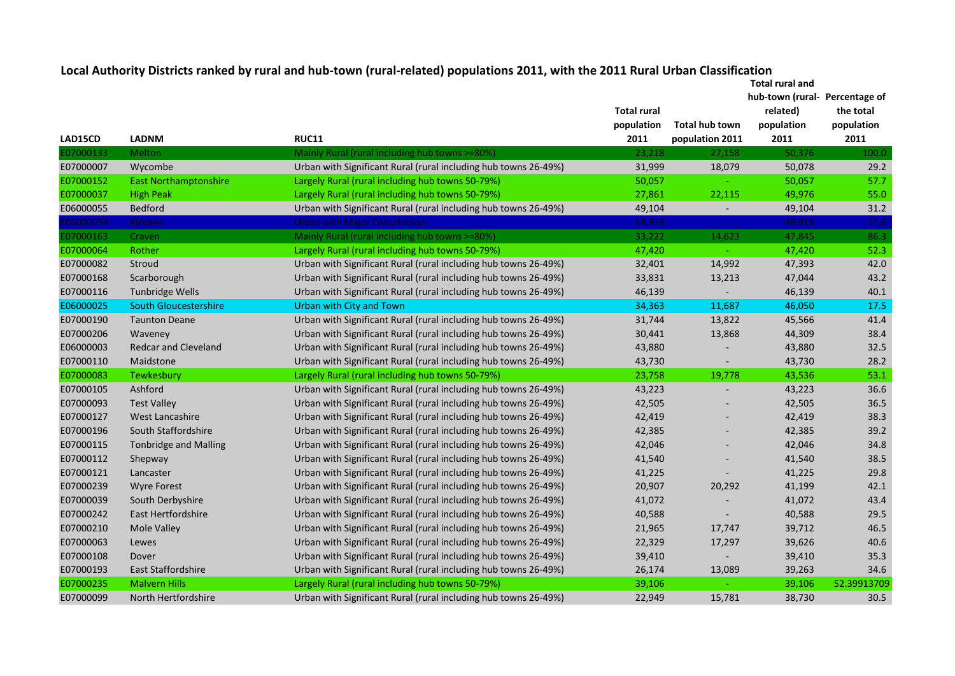|           |                              |                                                                 |                    |                          | Total rural and                |             |
|-----------|------------------------------|-----------------------------------------------------------------|--------------------|--------------------------|--------------------------------|-------------|
|           |                              |                                                                 |                    |                          | hub-town (rural- Percentage of |             |
|           |                              |                                                                 | <b>Total rural</b> |                          | related)                       | the total   |
|           |                              |                                                                 | population         | Total hub town           | population                     | population  |
| LAD15CD   | <b>LADNM</b>                 | <b>RUC11</b>                                                    | 2011               | population 2011          | 2011                           | 2011        |
| 07000133  | Melton                       | Mainly Rural (rural including hub towns >=80%)                  | 23,218             | 27,158                   | 50,376                         | 100.0       |
| E07000007 | Wycombe                      | Urban with Significant Rural (rural including hub towns 26-49%) | 31,999             | 18,079                   | 50,078                         | 29.2        |
| E07000152 | <b>East Northamptonshire</b> | Largely Rural (rural including hub towns 50-79%)                | 50,057             |                          | 50,057                         | 57.7        |
| E07000037 | <b>High Peak</b>             | Largely Rural (rural including hub towns 50-79%)                | 27,861             | 22,115                   | 49,976                         | 55.0        |
| E06000055 | Bedford                      | Urban with Significant Rural (rural including hub towns 26-49%) | 49,104             | $\overline{\phantom{a}}$ | 49,104                         | 31.2        |
| 08000034  | <b>Kirklees</b>              | <b>Urban with Major Conurbation</b>                             | 48,918             |                          | 48,918                         | 11.6        |
| 07000163  | Craven                       | Mainly Rural (rural including hub towns >=80%)                  | 33,222             | 14,623                   | 47,845                         | 86.3        |
| E07000064 | Rother                       | Largely Rural (rural including hub towns 50-79%)                | 47,420             |                          | 47,420                         | 52.3        |
| E07000082 | Stroud                       | Urban with Significant Rural (rural including hub towns 26-49%) | 32,401             | 14,992                   | 47,393                         | 42.0        |
| E07000168 | Scarborough                  | Urban with Significant Rural (rural including hub towns 26-49%) | 33,831             | 13,213                   | 47,044                         | 43.2        |
| E07000116 | Tunbridge Wells              | Urban with Significant Rural (rural including hub towns 26-49%) | 46,139             |                          | 46,139                         | 40.1        |
| E06000025 | <b>South Gloucestershire</b> | Urban with City and Town                                        | 34,363             | 11,687                   | 46,050                         | 17.5        |
| E07000190 | <b>Taunton Deane</b>         | Urban with Significant Rural (rural including hub towns 26-49%) | 31,744             | 13,822                   | 45,566                         | 41.4        |
| E07000206 | Waveney                      | Urban with Significant Rural (rural including hub towns 26-49%) | 30,441             | 13,868                   | 44,309                         | 38.4        |
| E06000003 | <b>Redcar and Cleveland</b>  | Urban with Significant Rural (rural including hub towns 26-49%) | 43,880             |                          | 43,880                         | 32.5        |
| E07000110 | Maidstone                    | Urban with Significant Rural (rural including hub towns 26-49%) | 43,730             |                          | 43,730                         | 28.2        |
| E07000083 | Tewkesbury                   | Largely Rural (rural including hub towns 50-79%)                | 23,758             | 19,778                   | 43,536                         | 53.1        |
| E07000105 | Ashford                      | Urban with Significant Rural (rural including hub towns 26-49%) | 43,223             |                          | 43,223                         | 36.6        |
| E07000093 | <b>Test Valley</b>           | Urban with Significant Rural (rural including hub towns 26-49%) | 42,505             |                          | 42,505                         | 36.5        |
| E07000127 | West Lancashire              | Urban with Significant Rural (rural including hub towns 26-49%) | 42,419             |                          | 42,419                         | 38.3        |
| E07000196 | South Staffordshire          | Urban with Significant Rural (rural including hub towns 26-49%) | 42,385             |                          | 42,385                         | 39.2        |
| E07000115 | <b>Tonbridge and Malling</b> | Urban with Significant Rural (rural including hub towns 26-49%) | 42,046             |                          | 42,046                         | 34.8        |
| E07000112 | Shepway                      | Urban with Significant Rural (rural including hub towns 26-49%) | 41,540             |                          | 41,540                         | 38.5        |
| E07000121 | Lancaster                    | Urban with Significant Rural (rural including hub towns 26-49%) | 41,225             |                          | 41,225                         | 29.8        |
| E07000239 | <b>Wyre Forest</b>           | Urban with Significant Rural (rural including hub towns 26-49%) | 20,907             | 20,292                   | 41,199                         | 42.1        |
| E07000039 | South Derbyshire             | Urban with Significant Rural (rural including hub towns 26-49%) | 41,072             |                          | 41,072                         | 43.4        |
| E07000242 | <b>East Hertfordshire</b>    | Urban with Significant Rural (rural including hub towns 26-49%) | 40,588             |                          | 40,588                         | 29.5        |
| E07000210 | Mole Valley                  | Urban with Significant Rural (rural including hub towns 26-49%) | 21,965             | 17,747                   | 39,712                         | 46.5        |
| E07000063 | Lewes                        | Urban with Significant Rural (rural including hub towns 26-49%) | 22,329             | 17,297                   | 39,626                         | 40.6        |
| E07000108 | Dover                        | Urban with Significant Rural (rural including hub towns 26-49%) | 39,410             |                          | 39,410                         | 35.3        |
| E07000193 | East Staffordshire           | Urban with Significant Rural (rural including hub towns 26-49%) | 26,174             | 13,089                   | 39,263                         | 34.6        |
| E07000235 | <b>Malvern Hills</b>         | Largely Rural (rural including hub towns 50-79%)                | 39,106             |                          | 39,106                         | 52.39913709 |
| E07000099 | North Hertfordshire          | Urban with Significant Rural (rural including hub towns 26-49%) | 22,949             | 15,781                   | 38,730                         | 30.5        |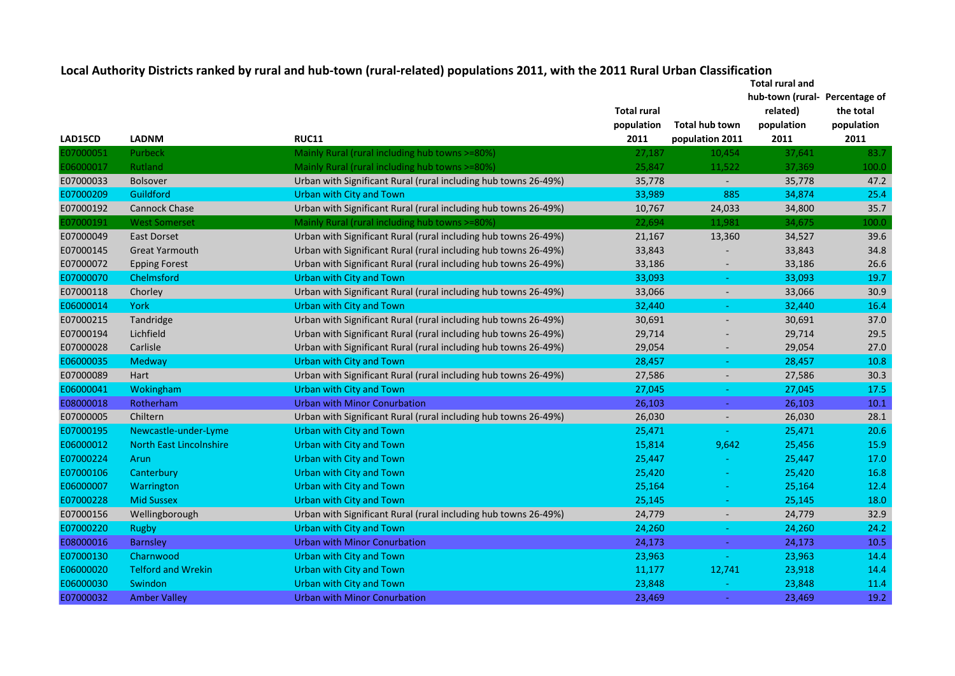|           |                                | <b>Total rural and</b>                                          |                    |                          |                                |            |
|-----------|--------------------------------|-----------------------------------------------------------------|--------------------|--------------------------|--------------------------------|------------|
|           |                                |                                                                 |                    |                          | hub-town (rural- Percentage of |            |
|           |                                |                                                                 | <b>Total rural</b> |                          | related)                       | the total  |
|           |                                |                                                                 | population         | Total hub town           | population                     | population |
| LAD15CD   | <b>LADNM</b>                   | <b>RUC11</b>                                                    | 2011               | population 2011          | 2011                           | 2011       |
| E07000051 | Purbeck                        | Mainly Rural (rural including hub towns >=80%)                  | 27,187             | 10,454                   | 37,641                         | 83.7       |
| E06000017 | Rutland                        | Mainly Rural (rural including hub towns >=80%)                  | 25,847             | 11,522                   | 37,369                         | 100.0      |
| E07000033 | <b>Bolsover</b>                | Urban with Significant Rural (rural including hub towns 26-49%) | 35,778             | $\overline{\phantom{a}}$ | 35,778                         | 47.2       |
| E07000209 | Guildford                      | <b>Urban with City and Town</b>                                 | 33,989             | 885                      | 34,874                         | 25.4       |
| E07000192 | <b>Cannock Chase</b>           | Urban with Significant Rural (rural including hub towns 26-49%) | 10,767             | 24,033                   | 34,800                         | 35.7       |
| 07000191  | <b>West Somerset</b>           | Mainly Rural (rural including hub towns >=80%)                  | 22,694             | 11,981                   | 34,675                         | 100.0      |
| E07000049 | <b>East Dorset</b>             | Urban with Significant Rural (rural including hub towns 26-49%) | 21,167             | 13,360                   | 34,527                         | 39.6       |
| E07000145 | <b>Great Yarmouth</b>          | Urban with Significant Rural (rural including hub towns 26-49%) | 33,843             |                          | 33,843                         | 34.8       |
| E07000072 | <b>Epping Forest</b>           | Urban with Significant Rural (rural including hub towns 26-49%) | 33,186             | $\overline{\phantom{a}}$ | 33,186                         | 26.6       |
| E07000070 | Chelmsford                     | Urban with City and Town                                        | 33,093             | ÷                        | 33,093                         | 19.7       |
| E07000118 | Chorley                        | Urban with Significant Rural (rural including hub towns 26-49%) | 33,066             | $\overline{\phantom{a}}$ | 33,066                         | 30.9       |
| E06000014 | York                           | <b>Urban with City and Town</b>                                 | 32,440             |                          | 32,440                         | 16.4       |
| E07000215 | Tandridge                      | Urban with Significant Rural (rural including hub towns 26-49%) | 30,691             |                          | 30,691                         | 37.0       |
| E07000194 | Lichfield                      | Urban with Significant Rural (rural including hub towns 26-49%) | 29,714             |                          | 29,714                         | 29.5       |
| E07000028 | Carlisle                       | Urban with Significant Rural (rural including hub towns 26-49%) | 29,054             |                          | 29,054                         | 27.0       |
| E06000035 | Medway                         | Urban with City and Town                                        | 28,457             |                          | 28,457                         | 10.8       |
| E07000089 | Hart                           | Urban with Significant Rural (rural including hub towns 26-49%) | 27,586             | $\overline{\phantom{a}}$ | 27,586                         | 30.3       |
| E06000041 | Wokingham                      | <b>Urban with City and Town</b>                                 | 27,045             | $\equiv$                 | 27,045                         | 17.5       |
| E08000018 | Rotherham                      | <b>Urban with Minor Conurbation</b>                             | 26,103             | $\omega$                 | 26,103                         | 10.1       |
| E07000005 | Chiltern                       | Urban with Significant Rural (rural including hub towns 26-49%) | 26,030             | $\overline{\phantom{a}}$ | 26,030                         | 28.1       |
| E07000195 | Newcastle-under-Lyme           | Urban with City and Town                                        | 25,471             | $\sim$                   | 25,471                         | 20.6       |
| E06000012 | <b>North East Lincolnshire</b> | Urban with City and Town                                        | 15,814             | 9,642                    | 25,456                         | 15.9       |
| E07000224 | Arun                           | Urban with City and Town                                        | 25,447             |                          | 25,447                         | 17.0       |
| E07000106 | Canterbury                     | Urban with City and Town                                        | 25,420             |                          | 25,420                         | 16.8       |
| E06000007 | Warrington                     | <b>Urban with City and Town</b>                                 | 25,164             |                          | 25,164                         | 12.4       |
| E07000228 | <b>Mid Sussex</b>              | Urban with City and Town                                        | 25,145             |                          | 25,145                         | 18.0       |
| E07000156 | Wellingborough                 | Urban with Significant Rural (rural including hub towns 26-49%) | 24,779             |                          | 24,779                         | 32.9       |
| E07000220 | <b>Rugby</b>                   | <b>Urban with City and Town</b>                                 | 24,260             |                          | 24,260                         | 24.2       |
| E08000016 | <b>Barnsley</b>                | <b>Urban with Minor Conurbation</b>                             | 24,173             |                          | 24,173                         | 10.5       |
| E07000130 | Charnwood                      | <b>Urban with City and Town</b>                                 | 23,963             |                          | 23,963                         | 14.4       |
| E06000020 | <b>Telford and Wrekin</b>      | <b>Urban with City and Town</b>                                 | 11,177             | 12,741                   | 23,918                         | 14.4       |
| E06000030 | Swindon                        | <b>Urban with City and Town</b>                                 | 23,848             |                          | 23,848                         | 11.4       |
| E07000032 | <b>Amber Valley</b>            | Urban with Minor Conurbation                                    | 23,469             | i al                     | 23,469                         | 19.2       |
|           |                                |                                                                 |                    |                          |                                |            |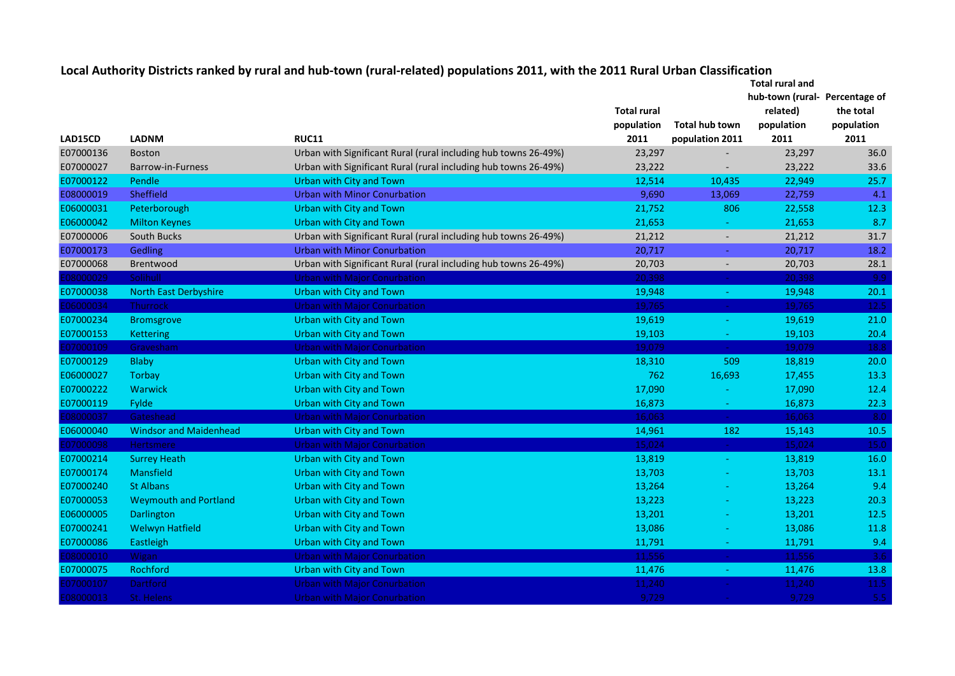| Local Authority Districts ranked by rural and hub-town (rural-related) populations 2011, with the 2011 Rural Urban Classification |  |  |
|-----------------------------------------------------------------------------------------------------------------------------------|--|--|
|-----------------------------------------------------------------------------------------------------------------------------------|--|--|

|           |                               |                                                                 |                    |                  | <b>Total rural and</b>         |            |
|-----------|-------------------------------|-----------------------------------------------------------------|--------------------|------------------|--------------------------------|------------|
|           |                               |                                                                 |                    |                  | hub-town (rural- Percentage of |            |
|           |                               |                                                                 | <b>Total rural</b> |                  | related)                       | the total  |
|           |                               |                                                                 | population         | Total hub town   | population                     | population |
| LAD15CD   | <b>LADNM</b>                  | <b>RUC11</b>                                                    | 2011               | population 2011  | 2011                           | 2011       |
| E07000136 | <b>Boston</b>                 | Urban with Significant Rural (rural including hub towns 26-49%) | 23,297             |                  | 23,297                         | 36.0       |
| E07000027 | Barrow-in-Furness             | Urban with Significant Rural (rural including hub towns 26-49%) | 23,222             |                  | 23,222                         | 33.6       |
| E07000122 | Pendle                        | <b>Urban with City and Town</b>                                 | 12,514             | 10,435           | 22,949                         | 25.7       |
| E08000019 | Sheffield                     | <b>Urban with Minor Conurbation</b>                             | 9,690              | 13,069           | 22,759                         | 4.1        |
| E06000031 | Peterborough                  | <b>Urban with City and Town</b>                                 | 21,752             | 806              | 22,558                         | 12.3       |
| E06000042 | <b>Milton Keynes</b>          | Urban with City and Town                                        | 21,653             | $\sim$           | 21,653                         | 8.7        |
| E07000006 | South Bucks                   | Urban with Significant Rural (rural including hub towns 26-49%) | 21,212             | $\sim$           | 21,212                         | 31.7       |
| E07000173 | Gedling                       | <b>Urban with Minor Conurbation</b>                             | 20,717             | $\sim$           | 20,717                         | 18.2       |
| E07000068 | Brentwood                     | Urban with Significant Rural (rural including hub towns 26-49%) | 20,703             | $\sim$           | 20,703                         | 28.1       |
| 08000029  | Solihull                      | <b>Urban with Major Conurbation</b>                             | 20,398             | $\omega_{\rm c}$ | 20,398                         | 9.9        |
| E07000038 | <b>North East Derbyshire</b>  | <b>Urban with City and Town</b>                                 | 19,948             | $\equiv$         | 19,948                         | 20.1       |
| E06000034 | Thurrock                      | <b>Urban with Major Conurbation</b>                             | 19,765             | $\sim$           | 19,765                         | 12.5       |
| E07000234 | <b>Bromsgrove</b>             | <b>Urban with City and Town</b>                                 | 19,619             | $\sim$           | 19,619                         | 21.0       |
| E07000153 | <b>Kettering</b>              | <b>Urban with City and Town</b>                                 | 19,103             | $\pm$            | 19,103                         | 20.4       |
| 07000109  | Gravesham                     | <b>Urban with Major Conurbation</b>                             | 19,079             | $\omega_{\rm c}$ | 19,079                         | 18.8       |
| E07000129 | Blaby                         | <b>Urban with City and Town</b>                                 | 18,310             | 509              | 18,819                         | 20.0       |
| E06000027 | Torbay                        | <b>Urban with City and Town</b>                                 | 762                | 16,693           | 17,455                         | 13.3       |
| E07000222 | <b>Warwick</b>                | <b>Urban with City and Town</b>                                 | 17,090             |                  | 17,090                         | 12.4       |
| E07000119 | Fylde                         | Urban with City and Town                                        | 16,873             | $\sim$           | 16,873                         | 22.3       |
| 08000037  | Gateshead                     | <b>Urban with Major Conurbation</b>                             | 16,063             | $\equiv$         | 16,063                         | 8.0        |
| E06000040 | <b>Windsor and Maidenhead</b> | <b>Urban with City and Town</b>                                 | 14,961             | 182              | 15,143                         | 10.5       |
| 07000098  | Hertsmere                     | <b>Urban with Major Conurbation</b>                             | 15,024             |                  | 15,024                         | 15.0       |
| E07000214 | <b>Surrey Heath</b>           | Urban with City and Town                                        | 13,819             | $\equiv$         | 13,819                         | 16.0       |
| E07000174 | Mansfield                     | <b>Urban with City and Town</b>                                 | 13,703             |                  | 13,703                         | 13.1       |
| E07000240 | <b>St Albans</b>              | <b>Urban with City and Town</b>                                 | 13,264             |                  | 13,264                         | 9.4        |
| E07000053 | <b>Weymouth and Portland</b>  | <b>Urban with City and Town</b>                                 | 13,223             |                  | 13,223                         | 20.3       |
| E06000005 | Darlington                    | <b>Urban with City and Town</b>                                 | 13,201             |                  | 13,201                         | 12.5       |
| E07000241 | <b>Welwyn Hatfield</b>        | <b>Urban with City and Town</b>                                 | 13,086             |                  | 13,086                         | 11.8       |
| E07000086 | Eastleigh                     | <b>Urban with City and Town</b>                                 | 11,791             |                  | 11,791                         | 9.4        |
| 08000010  | Wigan                         | <b>Urban with Major Conurbation</b>                             | 11,556             | $\sim$           | 11,556                         | 3.6        |
| E07000075 | Rochford                      | Urban with City and Town                                        | 11,476             | $\sim$           | 11,476                         | 13.8       |
| 07000107  | Dartford                      | <b>Urban with Major Conurbation</b>                             | 11,240             |                  | 11,240                         | 11.5       |
| 08000013  | St. Helens                    | <b>Urban with Major Conurbation</b>                             | 9,729              |                  | 9,729                          | 5.5        |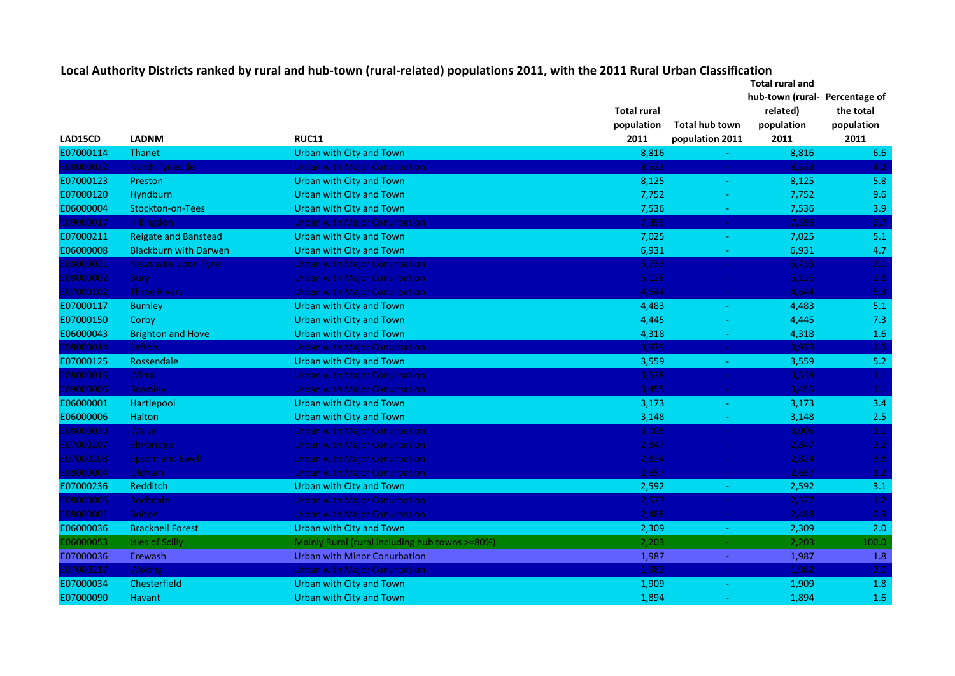| Local Authority Districts ranked by rural and hub-town (rural-related) populations 2011, with the 2011 Rural Urban Classification |                                |           |
|-----------------------------------------------------------------------------------------------------------------------------------|--------------------------------|-----------|
|                                                                                                                                   | Total rural and                |           |
|                                                                                                                                   | hub-town (rural- Percentage of |           |
| <b>Total rural</b>                                                                                                                | related)                       | the total |
|                                                                                                                                   |                                |           |

|           |                              |                                                | <b>Total rural</b> |                                          | related)   | the total        |
|-----------|------------------------------|------------------------------------------------|--------------------|------------------------------------------|------------|------------------|
|           |                              |                                                | population         | <b>Total hub town</b>                    | population | population       |
| LAD15CD   | <b>LADNM</b>                 | <b>RUC11</b>                                   | 2011               | population 2011                          | 2011       | 2011             |
| E07000114 | <b>Thanet</b>                | <b>Urban with City and Town</b>                | 8,816              | ÷.                                       | 8,816      | 6.6              |
| 08000022  | North Tyneside               | <b>Urban with Major Conurbation</b>            | 8,523              | $\frac{1}{2} \mathcal{L}_{\mathrm{eff}}$ | 8,523      | 4.2              |
| E07000123 | Preston                      | Urban with City and Town                       | 8,125              | $\equiv$                                 | 8,125      | 5.8              |
| E07000120 | <b>Hyndburn</b>              | Urban with City and Town                       | 7,752              |                                          | 7,752      | 9.6              |
| E06000004 | <b>Stockton-on-Tees</b>      | <b>Urban with City and Town</b>                | 7,536              |                                          | 7,536      | 3.9              |
| 09000017  | <b>Hillingdon</b>            | <b>Urban with Major Conurbation</b>            | 7,399              | $\omega$                                 | 7,399      | 2.7              |
| E07000211 | <b>Reigate and Banstead</b>  | Urban with City and Town                       | 7,025              | $\blacksquare$                           | 7,025      | 5.1              |
| E06000008 | <b>Blackburn with Darwen</b> | <b>Urban with City and Town</b>                | 6,931              | $\sim$                                   | 6,931      | 4.7              |
| 08000021  | Newcastle upon Tyne          | <b>Urban with Major Conurbation</b>            | 5,733              | $\sim$                                   | 5,733      | 2.0 <sub>1</sub> |
| E08000002 | <b>Bury</b>                  | <b>Urban with Major Conurbation</b>            | 5,126              | $\sim$                                   | 5,126      | 2.8              |
| E07000102 | <b>Three Rivers</b>          | <b>Urban with Major Conurbation</b>            | 4,644              | $\sim$                                   | 4,644      | 5.3              |
| E07000117 | <b>Burnley</b>               | <b>Urban with City and Town</b>                | 4,483              | $\sim$                                   | 4,483      | 5.1              |
| E07000150 | Corby                        | <b>Urban with City and Town</b>                | 4,445              | $\blacksquare$                           | 4,445      | 7.3              |
| E06000043 | <b>Brighton and Hove</b>     | Urban with City and Town                       | 4,318              | $\equiv$                                 | 4,318      | 1.6              |
| 08000014  | Sefton                       | <b>Urban with Major Conurbation</b>            | 3,979              | $\sim$                                   | 3,979      | 1.5              |
| E07000125 | Rossendale                   | Urban with City and Town                       | 3,559              | ÷                                        | 3,559      | 5.2              |
| 08000015  | Wirral                       | <b>Urban with Major Conurbation</b>            | 3,538              | $\frac{1}{\sqrt{2}}$                     | 3,538      | 1.1              |
| 09000006  | Bromley                      | <b>Urban with Major Conurbation</b>            | 3,455              | $\omega$                                 | 3,455      | $1.1$            |
| E06000001 | Hartlepool                   | Urban with City and Town                       | 3,173              | $\equiv$                                 | 3,173      | 3.4              |
| E06000006 | <b>Halton</b>                | <b>Urban with City and Town</b>                | 3,148              | $\equiv$                                 | 3,148      | 2.5              |
| 08000030  | Walsall                      | <b>Urban with Major Conurbation</b>            | 3,005              | $\sim$                                   | 3,005      | $1.1$            |
| E07000207 | Elmbridge                    | <b>Urban with Major Conurbation</b>            | 2,847              | $\sim$                                   | 2,847      | $2.2^{\circ}$    |
| E07000208 | <b>Epsom and Ewell</b>       | <b>Urban with Major Conurbation</b>            | 2,824              | $\sim$                                   | 2,824      | 3.8 <sub>1</sub> |
| 08000004  | Oldham                       | <b>Urban with Major Conurbation</b>            | 2,657              | $\sim$                                   | 2,657      | 1.2              |
| E07000236 | Redditch                     | Urban with City and Town                       | 2,592              | $\sim$                                   | 2,592      | 3.1              |
| 08000005  | Rochdale                     | <b>Urban with Major Conurbation</b>            | 2,577              | $\sim$                                   | 2,577      | 1.2              |
| 08000001  | <b>Bolton</b>                | <b>Urban with Major Conurbation</b>            | 2,488              | $\sim$                                   | 2,488      | 0.9              |
| E06000036 | <b>Bracknell Forest</b>      | Urban with City and Town                       | 2,309              | $\omega$                                 | 2,309      | 2.0              |
| E06000053 | <b>Isles of Scilly</b>       | Mainly Rural (rural including hub towns >=80%) | 2,203              | $\sim$                                   | 2,203      | 100.0            |
| E07000036 | Erewash                      | <b>Urban with Minor Conurbation</b>            | 1,987              | $\equiv$                                 | 1,987      | 1.8              |
| 07000217  | Woking                       | <b>Urban with Major Conurbation</b>            | 1,982              | $\sim$                                   | 1,982      | 2.0              |
| E07000034 | Chesterfield                 | Urban with City and Town                       | 1,909              |                                          | 1,909      | 1.8              |
| E07000090 | <b>Havant</b>                | <b>Urban with City and Town</b>                | 1,894              |                                          | 1,894      | 1.6              |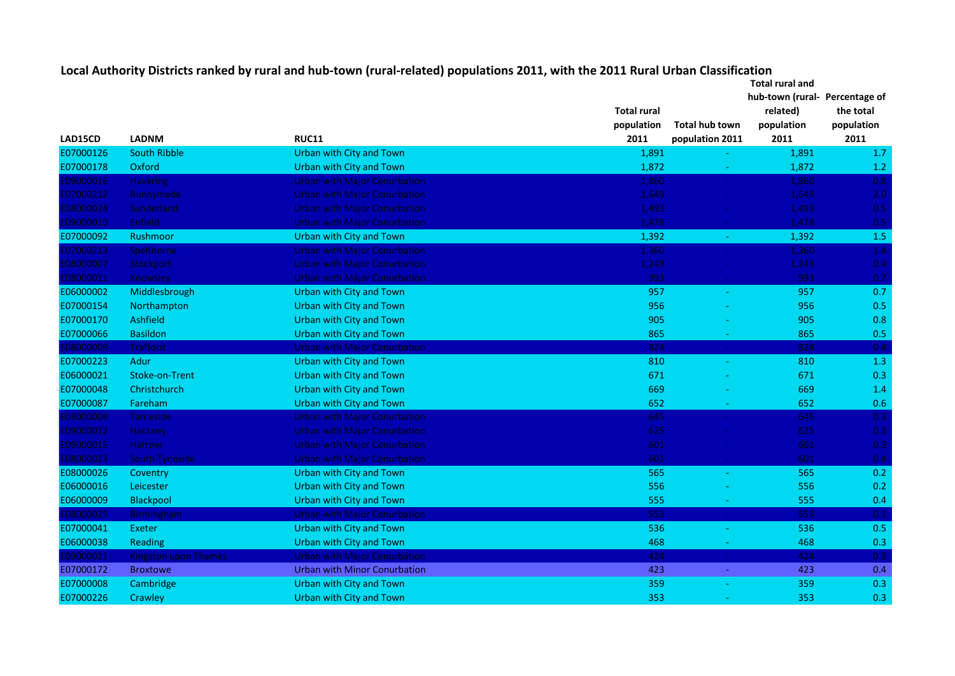|           |                             |                                     |                    |                      | <b>Total rural and</b>        |            |  |
|-----------|-----------------------------|-------------------------------------|--------------------|----------------------|-------------------------------|------------|--|
|           |                             |                                     |                    |                      | hub-town (rural-Percentage of |            |  |
|           |                             |                                     | <b>Total rural</b> |                      | related)                      | the total  |  |
|           |                             |                                     | population         | Total hub town       | population                    | population |  |
| LAD15CD   | <b>LADNM</b>                | <b>RUC11</b>                        | 2011               | population 2011      | 2011                          | 2011       |  |
| E07000126 | <b>South Ribble</b>         | Urban with City and Town            | 1,891              |                      | 1,891                         | 1.7        |  |
| E07000178 | Oxford                      | Urban with City and Town            | 1,872              | ÷                    | 1,872                         | 1.2        |  |
| 09000016  | <b>Havering</b>             | Urban with Major Conurbation        | 1,860              | $\sim$               | 1,860                         | 0.8        |  |
| 07000212  | Runnymede                   | Urban with Major Conurbation        | 1,649              | $\omega$             | 1,649                         | 2.0        |  |
| 08000024  | Sunderland                  | Urban with Major Conurbation        | 1,493              |                      | 1,493                         | 0.5        |  |
| 09000010  | <b>Enfield</b>              | <b>Urban with Major Conurbation</b> | 1,478              | $\omega$             | 1,478                         | 0.5        |  |
| E07000092 | <b>Rushmoor</b>             | Urban with City and Town            | 1,392              | $\sim$               | 1,392                         | 1.5        |  |
| 07000213  | Spelthorne                  | Urban with Major Conurbation        | 1,360              | $\frac{1}{\sqrt{2}}$ | 1,360                         | 1.4        |  |
| 08000007  | Stockport                   | Urban with Major Conurbation        | 1,249              | $\omega$             | 1,249                         | 0.4        |  |
| 08000011  | Knowsley                    | Urban with Major Conurbation        | 993                | $\omega$             | 993                           | 0.7        |  |
| E06000002 | Middlesbrough               | <b>Urban with City and Town</b>     | 957                | $\equiv$             | 957                           | 0.7        |  |
| E07000154 | Northampton                 | <b>Urban with City and Town</b>     | 956                |                      | 956                           | 0.5        |  |
| E07000170 | Ashfield                    | Urban with City and Town            | 905                |                      | 905                           | 0.8        |  |
| E07000066 | <b>Basildon</b>             | <b>Urban with City and Town</b>     | 865                |                      | 865                           | 0.5        |  |
| 08000009  | <b>Trafford</b>             | Urban with Major Conurbation        | 824                | $\frac{1}{\sqrt{2}}$ | 824                           | 0.4        |  |
| E07000223 | Adur                        | <b>Urban with City and Town</b>     | 810                | ÷                    | 810                           | 1.3        |  |
| E06000021 | Stoke-on-Trent              | <b>Urban with City and Town</b>     | 671                |                      | 671                           | 0.3        |  |
| E07000048 | Christchurch                | <b>Urban with City and Town</b>     | 669                |                      | 669                           | 1.4        |  |
| E07000087 | Fareham                     | <b>Urban with City and Town</b>     | 652                |                      | 652                           | 0.6        |  |
| 80000008  | <b>Tameside</b>             | <b>Urban with Major Conurbation</b> | 645                | $\Delta \phi$        | 645                           | 0.3        |  |
| 09000012  | Hackney                     | Urban with Major Conurbation        | 625                | $\Delta \phi$        | 625                           | 0.3        |  |
| 09000015  | <b>Harrow</b>               | Urban with Major Conurbation        | 601                | <b>College</b>       | 601                           | 0.3        |  |
| E08000023 | South Tyneside              | <b>Urban with Major Conurbation</b> | 601                | <b>College</b>       | 601                           | 0.4        |  |
| E08000026 | Coventry                    | <b>Urban with City and Town</b>     | 565                | $\blacksquare$       | 565                           | 0.2        |  |
| E06000016 | Leicester                   | <b>Urban with City and Town</b>     | 556                |                      | 556                           | 0.2        |  |
| E06000009 | Blackpool                   | <b>Urban with City and Town</b>     | 555                |                      | 555                           | 0.4        |  |
| E08000025 | <b>Birmingham</b>           | <b>Urban with Major Conurbation</b> | 553                | $\Delta \phi$        | 553                           | 0.1        |  |
| E07000041 | Exeter                      | Urban with City and Town            | 536                |                      | 536                           | 0.5        |  |
| E06000038 | Reading                     | <b>Urban with City and Town</b>     | 468                |                      | 468                           | 0.3        |  |
| E09000021 | <b>Kingston upon Thames</b> | <b>Urban with Major Conurbation</b> | 424                | $\sim$               | 424                           | 0.3        |  |
| E07000172 | <b>Broxtowe</b>             | <b>Urban with Minor Conurbation</b> | 423                | $\omega$             | 423                           | 0.4        |  |
| E07000008 | <b>Cambridge</b>            | <b>Urban with City and Town</b>     | 359                |                      | 359                           | 0.3        |  |
| E07000226 | Crawley                     | <b>Urban with City and Town</b>     | 353                |                      | 353                           | 0.3        |  |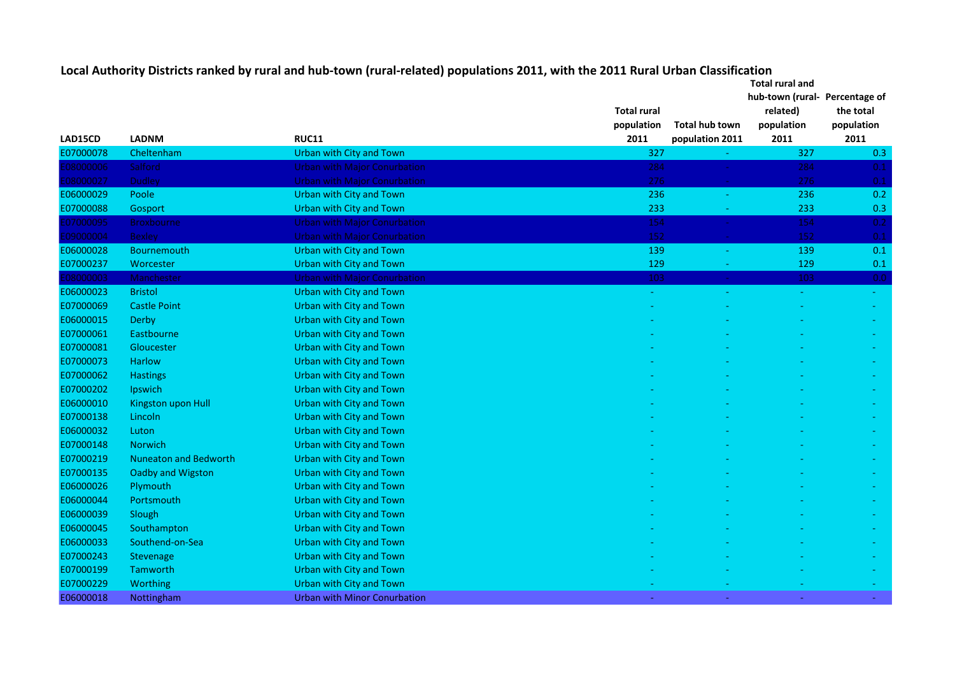|           |                              |                                     |                    | <b>Total rural and</b> |                                |            |  |
|-----------|------------------------------|-------------------------------------|--------------------|------------------------|--------------------------------|------------|--|
|           |                              |                                     |                    |                        | hub-town (rural- Percentage of |            |  |
|           |                              |                                     | <b>Total rural</b> |                        | related)                       | the total  |  |
|           |                              |                                     | population         | <b>Total hub town</b>  | population                     | population |  |
| LAD15CD   | <b>LADNM</b>                 | <b>RUC11</b>                        | 2011               | population 2011        | 2011                           | 2011       |  |
| E07000078 | Cheltenham                   | <b>Urban with City and Town</b>     | 327                |                        | 327                            | 0.3        |  |
| 08000006  | Salford                      | <b>Urban with Major Conurbation</b> | 284                |                        | 284                            | 0.1        |  |
| 08000027  | <b>Dudley</b>                | <b>Urban with Major Conurbation</b> | 276                | ш.                     | 276                            | 0.1        |  |
| E06000029 | Poole                        | <b>Urban with City and Town</b>     | 236                | $\sim$                 | 236                            | 0.2        |  |
| E07000088 | Gosport                      | <b>Urban with City and Town</b>     | 233                |                        | 233                            | 0.3        |  |
| 07000095  | <b>Broxbourne</b>            | <b>Urban with Major Conurbation</b> | 154                | $\Delta \phi$          | 154                            | 0.2        |  |
| E09000004 | <b>Bexley</b>                | <b>Urban with Major Conurbation</b> | 152                | $\omega$               | 152                            | 0.1        |  |
| E06000028 | Bournemouth                  | <b>Urban with City and Town</b>     | 139                | $\equiv$               | 139                            | 0.1        |  |
| E07000237 | Worcester                    | <b>Urban with City and Town</b>     | 129                |                        | 129                            | 0.1        |  |
| 08000003  | Manchester                   | <b>Urban with Major Conurbation</b> | 103                | $\omega_{\rm c}$       | 103                            | 0.0        |  |
| E06000023 | <b>Bristol</b>               | <b>Urban with City and Town</b>     | $\blacksquare$     |                        |                                | $\equiv$   |  |
| E07000069 | <b>Castle Point</b>          | Urban with City and Town            |                    |                        |                                |            |  |
| E06000015 | Derby                        | Urban with City and Town            |                    |                        |                                |            |  |
| E07000061 | Eastbourne                   | Urban with City and Town            |                    |                        |                                |            |  |
| E07000081 | Gloucester                   | Urban with City and Town            |                    |                        |                                |            |  |
| E07000073 | <b>Harlow</b>                | Urban with City and Town            |                    |                        |                                |            |  |
| E07000062 | <b>Hastings</b>              | <b>Urban with City and Town</b>     |                    |                        |                                |            |  |
| E07000202 | Ipswich                      | <b>Urban with City and Town</b>     |                    |                        |                                |            |  |
| E06000010 | Kingston upon Hull           | Urban with City and Town            |                    |                        |                                |            |  |
| E07000138 | Lincoln                      | <b>Urban with City and Town</b>     |                    |                        |                                |            |  |
| E06000032 | Luton                        | <b>Urban with City and Town</b>     |                    |                        |                                |            |  |
| E07000148 | <b>Norwich</b>               | <b>Urban with City and Town</b>     |                    |                        |                                |            |  |
| E07000219 | <b>Nuneaton and Bedworth</b> | <b>Urban with City and Town</b>     |                    |                        |                                |            |  |
| E07000135 | Oadby and Wigston            | <b>Urban with City and Town</b>     |                    |                        |                                |            |  |
| E06000026 | Plymouth                     | Urban with City and Town            |                    |                        |                                |            |  |
| E06000044 | Portsmouth                   | Urban with City and Town            |                    |                        |                                |            |  |
| E06000039 | Slough                       | Urban with City and Town            |                    |                        |                                |            |  |
| E06000045 | Southampton                  | Urban with City and Town            |                    |                        |                                |            |  |
| E06000033 | Southend-on-Sea              | Urban with City and Town            |                    |                        |                                |            |  |
| E07000243 | <b>Stevenage</b>             | Urban with City and Town            |                    |                        |                                |            |  |
| E07000199 | Tamworth                     | Urban with City and Town            |                    |                        |                                |            |  |
| E07000229 | Worthing                     | <b>Urban with City and Town</b>     |                    |                        |                                |            |  |
| E06000018 | Nottingham                   | <b>Urban with Minor Conurbation</b> |                    |                        |                                |            |  |